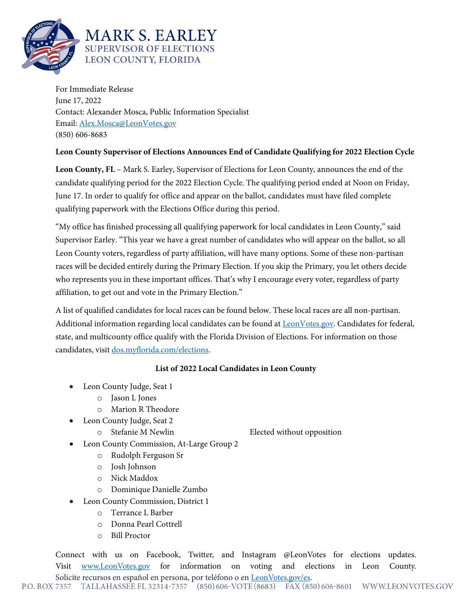

For Immediate Release June 17, 2022 Contact: Alexander Mosca, Public Information Specialist Email: [Alex.Mosca@LeonVotes.gov](mailto:Alex.Mosca@LeonVotes.gov) (850) 606-8683

## **Leon County Supervisor of Elections Announces End of Candidate Qualifying for 2022 Election Cycle**

**Leon County, FL** – Mark S. Earley, Supervisor of Elections for Leon County, announces the end of the candidate qualifying period for the 2022 Election Cycle. The qualifying period ended at Noon on Friday, June 17. In order to qualify for office and appear on the ballot, candidates must have filed complete qualifying paperwork with the Elections Office during this period.

"My office has finished processing all qualifying paperwork for local candidates in Leon County," said Supervisor Earley. "This year we have a great number of candidates who will appear on the ballot, so all Leon County voters, regardless of party affiliation, will have many options. Some of these non-partisan races will be decided entirely during the Primary Election. If you skip the Primary, you let others decide who represents you in these important offices. That's why I encourage every voter, regardless of party affiliation, to get out and vote in the Primary Election."

A list of qualified candidates for local races can be found below. These local races are all non-partisan. Additional information regarding local candidates can be found at **LeonVotes.gov**. Candidates for federal, state, and multicounty office qualify with the Florida Division of Elections. For information on those candidates, visit [dos.myflorida.com/elections.](http://www.dos.myflorida.com/elections) 

## **List of 2022 Local Candidates in Leon County**

- Leon County Judge, Seat 1
	- o Jason L Jones
	- o Marion R Theodore
- Leon County Judge, Seat 2
	-

o Stefanie M Newlin Elected without opposition

- Leon County Commission, At-Large Group 2
	- o Rudolph Ferguson Sr
	- o Josh Johnson
	- o Nick Maddox
	- o Dominique Danielle Zumbo
- Leon County Commission, District 1
	- o Terrance L Barber
	- o Donna Pearl Cottrell
	- o Bill Proctor

Connect with us on Facebook, Twitter, and Instagram @LeonVotes for elections updates. Visit [www.LeonVotes.gov](http://www.leonvotes.gov/) for information on voting and elections in Leon County.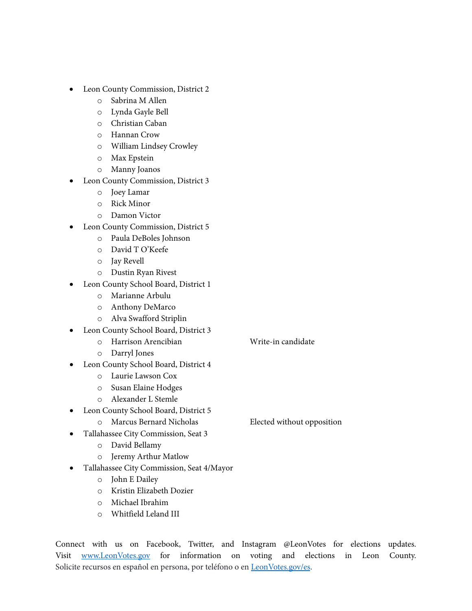- Leon County Commission, District 2
	- o Sabrina M Allen
	- o Lynda Gayle Bell
	- o Christian Caban
	- o Hannan Crow
	- o William Lindsey Crowley
	- o Max Epstein
	- o Manny Joanos
- Leon County Commission, District 3
	- o Joey Lamar
	- o Rick Minor
	- o Damon Victor
	- Leon County Commission, District 5
		- o Paula DeBoles Johnson
		- o David T O'Keefe
		- o Jay Revell
		- o Dustin Ryan Rivest
- Leon County School Board, District 1
	- o Marianne Arbulu
	- o Anthony DeMarco
	- o Alva Swafford Striplin
- Leon County School Board, District 3
	- o Harrison Arencibian Write-in candidate
	- o Darryl Jones
- Leon County School Board, District 4
	- o Laurie Lawson Cox
	- o Susan Elaine Hodges
	- o Alexander L Stemle
- Leon County School Board, District 5
	- o Marcus Bernard Nicholas Elected without opposition

- Tallahassee City Commission, Seat 3
	- o David Bellamy
	- o Jeremy Arthur Matlow
- Tallahassee City Commission, Seat 4/Mayor
	- o John E Dailey
	- o Kristin Elizabeth Dozier
	- o Michael Ibrahim
	- o Whitfield Leland III

Connect with us on Facebook, Twitter, and Instagram @LeonVotes for elections updates. Visit [www.LeonVotes.gov](http://www.leonvotes.gov/) for information on voting and elections in Leon County. Solicite recursos en español en persona, por teléfono o e[n LeonVotes.gov/es.](http://www.leonvotes.gov/es)